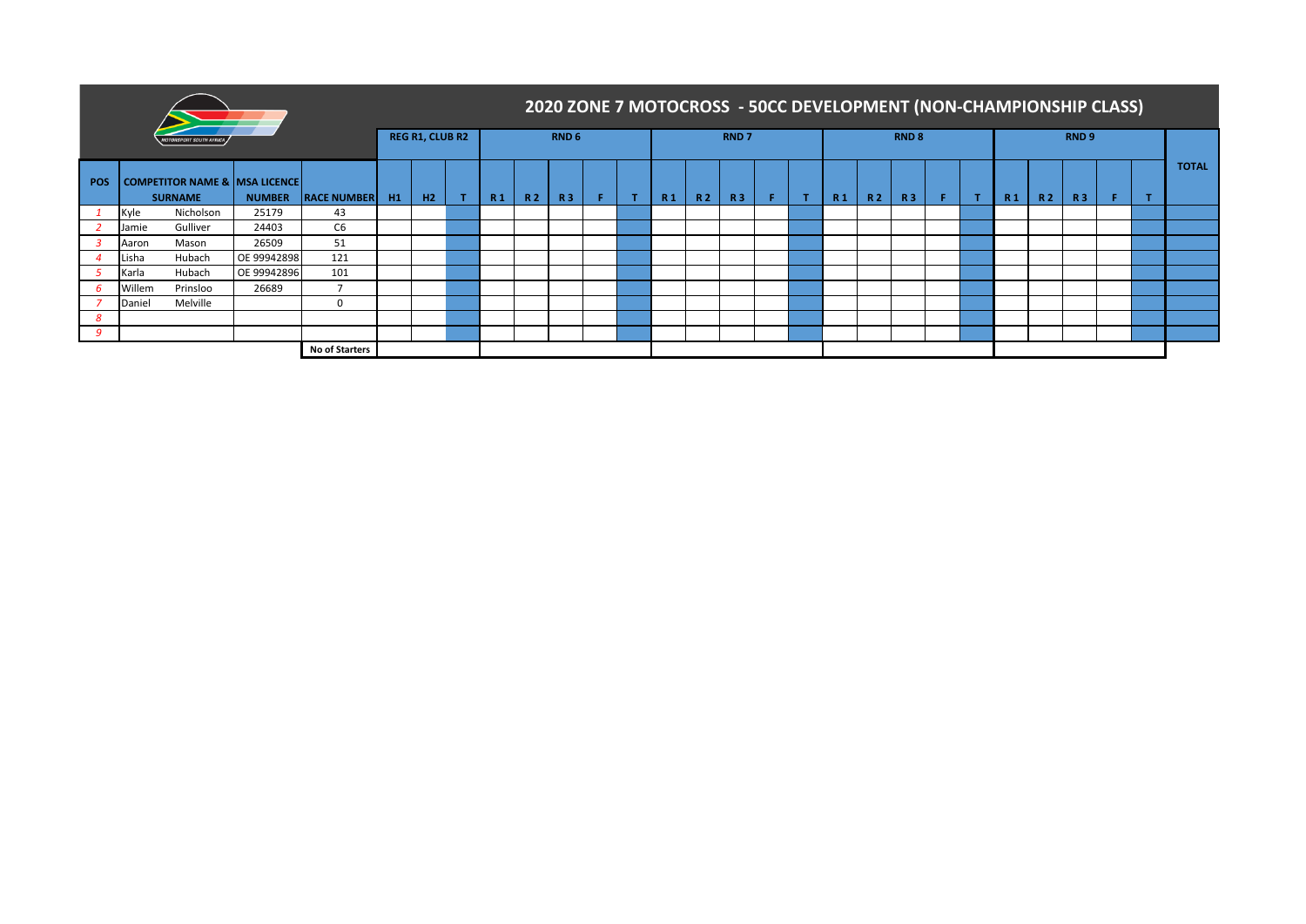|     |        |                                                            |                          |                       |                |                        |    |  |                  |           | 2020 ZONE 7 MOTOCROSS - 50CC DEVELOPMENT (NON-CHAMPIONSHIP CLASS) |    |                |     |           |  |                |     |           |  |                  |  |  |
|-----|--------|------------------------------------------------------------|--------------------------|-----------------------|----------------|------------------------|----|--|------------------|-----------|-------------------------------------------------------------------|----|----------------|-----|-----------|--|----------------|-----|-----------|--|------------------|--|--|
|     |        | <b>JRSPORT SOUTH AFRICA</b>                                |                          |                       |                | <b>REG R1, CLUB R2</b> |    |  | RND <sub>6</sub> |           |                                                                   |    | <b>RND7</b>    |     |           |  | <b>RND 8</b>   |     |           |  | RND <sub>9</sub> |  |  |
| POS |        | <b>COMPETITOR NAME &amp; MSA LICENCE</b><br><b>SURNAME</b> | <b>RACE NUMBER</b><br>H1 | H2                    | R <sub>1</sub> | R 2                    | R3 |  | R <sub>1</sub>   | <b>R2</b> | <b>R3</b>                                                         | F. | R <sub>1</sub> | R 2 | <b>R3</b> |  | R <sub>1</sub> | R 2 | <b>R3</b> |  | <b>TOTAL</b>     |  |  |
|     | Kyle   | Nicholson                                                  | 25179                    | 43                    |                |                        |    |  |                  |           |                                                                   |    |                |     |           |  |                |     |           |  |                  |  |  |
|     | Jamie  | Gulliver                                                   | 24403                    | C6                    |                |                        |    |  |                  |           |                                                                   |    |                |     |           |  |                |     |           |  |                  |  |  |
|     | Aaron  | Mason                                                      | 26509                    | 51                    |                |                        |    |  |                  |           |                                                                   |    |                |     |           |  |                |     |           |  |                  |  |  |
|     | Lisha  | Hubach                                                     | OE 99942898              | 121                   |                |                        |    |  |                  |           |                                                                   |    |                |     |           |  |                |     |           |  |                  |  |  |
|     | Karla  | Hubach                                                     | OE 99942896              | 101                   |                |                        |    |  |                  |           |                                                                   |    |                |     |           |  |                |     |           |  |                  |  |  |
|     | Willem | Prinsloo                                                   | 26689                    | $\overline{7}$        |                |                        |    |  |                  |           |                                                                   |    |                |     |           |  |                |     |           |  |                  |  |  |
|     | Daniel | Melville                                                   |                          | $\Omega$              |                |                        |    |  |                  |           |                                                                   |    |                |     |           |  |                |     |           |  |                  |  |  |
|     |        |                                                            |                          |                       |                |                        |    |  |                  |           |                                                                   |    |                |     |           |  |                |     |           |  |                  |  |  |
|     |        |                                                            |                          |                       |                |                        |    |  |                  |           |                                                                   |    |                |     |           |  |                |     |           |  |                  |  |  |
|     |        |                                                            |                          | <b>No of Starters</b> |                |                        |    |  |                  |           |                                                                   |    |                |     |           |  |                |     |           |  |                  |  |  |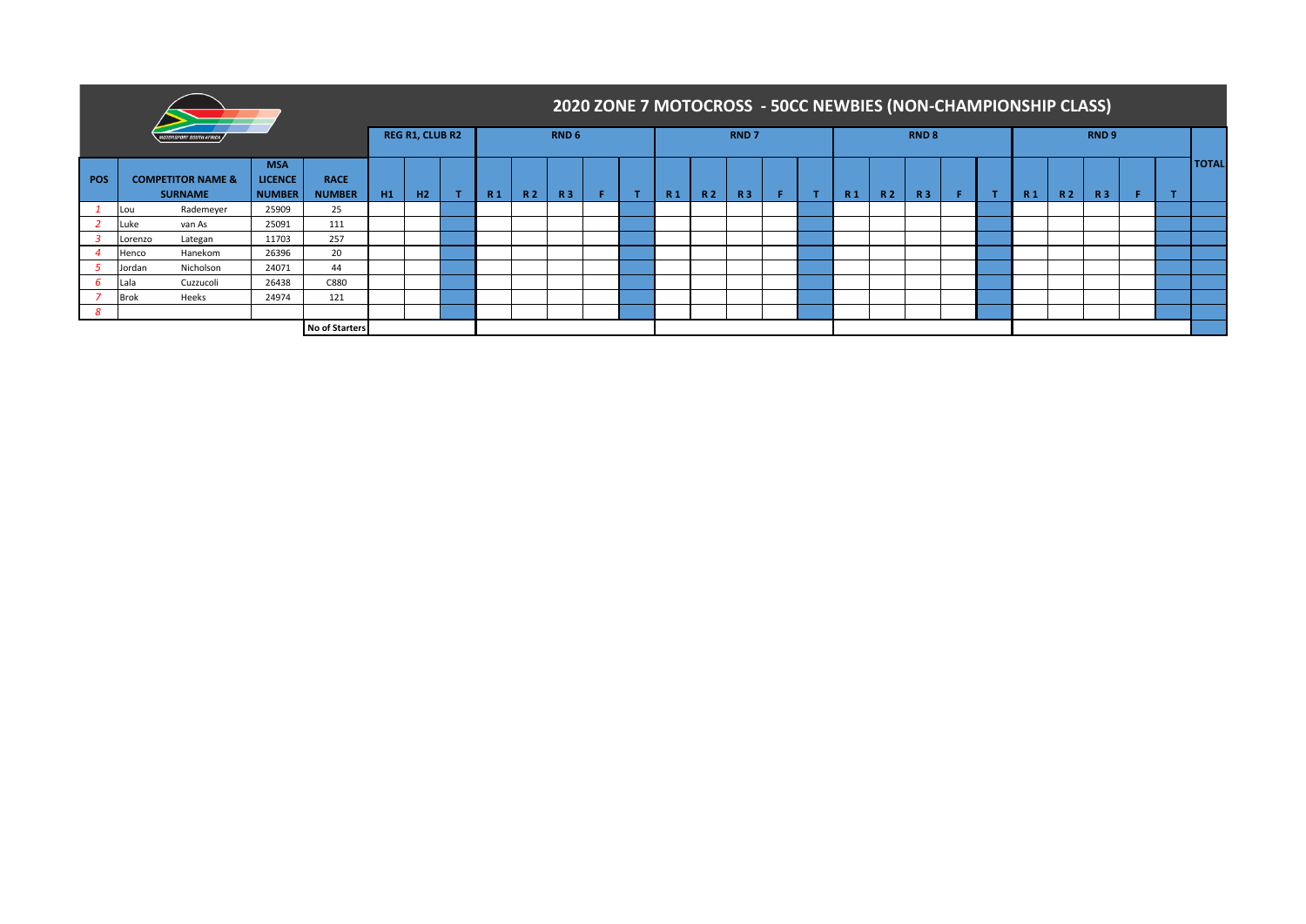|            |             |                                                |                                        |                              |                |                        |                |     |                  |   |   |                |     |                  |  |                | 2020 ZONE 7 MOTOCROSS - 50CC NEWBIES (NON-CHAMPIONSHIP CLASS) |                  |  |                |           |                  |  |              |
|------------|-------------|------------------------------------------------|----------------------------------------|------------------------------|----------------|------------------------|----------------|-----|------------------|---|---|----------------|-----|------------------|--|----------------|---------------------------------------------------------------|------------------|--|----------------|-----------|------------------|--|--------------|
|            |             | <i><b>IRSPORT SOUTH AFRICA</b></i>             |                                        |                              |                | <b>REG R1, CLUB R2</b> |                |     | RND <sub>6</sub> |   |   |                |     | RND <sub>7</sub> |  |                |                                                               | RND <sub>8</sub> |  |                |           | RND <sub>9</sub> |  |              |
| <b>POS</b> |             | <b>COMPETITOR NAME &amp;</b><br><b>SURNAME</b> | <b>MSA</b><br><b>LICENCE</b><br>NUMBER | <b>RACE</b><br><b>NUMBER</b> | H <sub>1</sub> | H <sub>2</sub>         | R <sub>1</sub> | R 2 | <b>R3</b>        | п | т | R <sub>1</sub> | R 2 | R <sub>3</sub>   |  | R <sub>1</sub> | <b>R2</b>                                                     | <b>R3</b>        |  | R <sub>1</sub> | <b>R2</b> | R <sub>3</sub>   |  | <b>TOTAL</b> |
|            | Lou         | Rademeyer                                      | 25909                                  | 25                           |                |                        |                |     |                  |   |   |                |     |                  |  |                |                                                               |                  |  |                |           |                  |  |              |
|            | Luke        | van As                                         | 25091                                  | 111                          |                |                        |                |     |                  |   |   |                |     |                  |  |                |                                                               |                  |  |                |           |                  |  |              |
|            | Lorenzo     | Lategan                                        | 11703                                  | 257                          |                |                        |                |     |                  |   |   |                |     |                  |  |                |                                                               |                  |  |                |           |                  |  |              |
|            | Henco       | Hanekom                                        | 26396                                  | 20                           |                |                        |                |     |                  |   |   |                |     |                  |  |                |                                                               |                  |  |                |           |                  |  |              |
|            | Jordan      | Nicholson                                      | 24071                                  | 44                           |                |                        |                |     |                  |   |   |                |     |                  |  |                |                                                               |                  |  |                |           |                  |  |              |
|            | Lala        | Cuzzucoli                                      | 26438                                  | C880                         |                |                        |                |     |                  |   |   |                |     |                  |  |                |                                                               |                  |  |                |           |                  |  |              |
|            | <b>Brok</b> | Heeks                                          | 24974                                  | 121                          |                |                        |                |     |                  |   |   |                |     |                  |  |                |                                                               |                  |  |                |           |                  |  |              |
| -8         |             |                                                |                                        |                              |                |                        |                |     |                  |   |   |                |     |                  |  |                |                                                               |                  |  |                |           |                  |  |              |
|            |             |                                                |                                        | <b>No of Starters</b>        |                |                        |                |     |                  |   |   |                |     |                  |  |                |                                                               |                  |  |                |           |                  |  |              |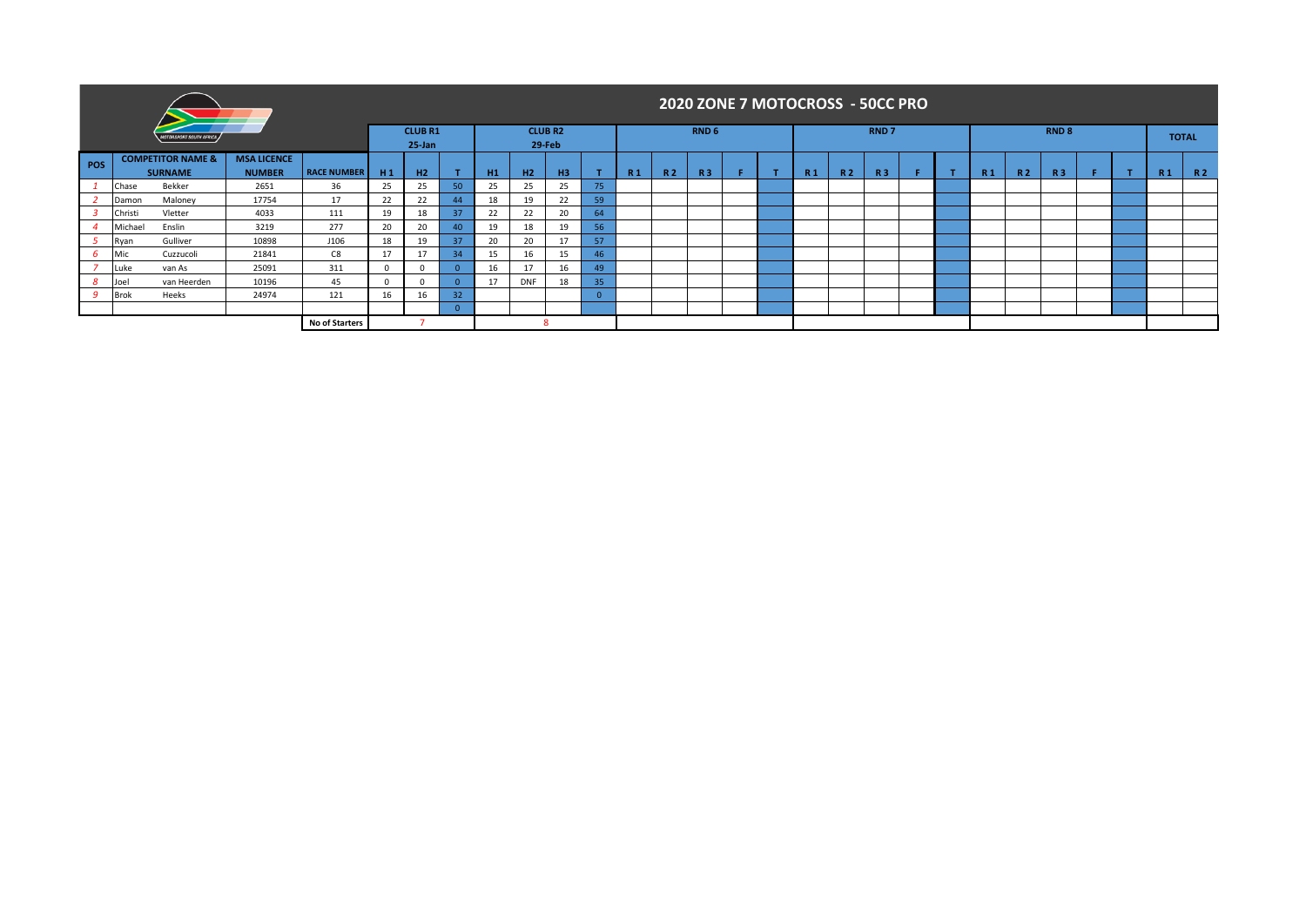|                                                  |               |                                                |                    |                       |                |                            |                 |                |            |                          |                |           |    | 2020 ZONE 7 MOTOCROSS - 50CC PRO |                |     |                |                  |                |           |           |                  |                |     |              |
|--------------------------------------------------|---------------|------------------------------------------------|--------------------|-----------------------|----------------|----------------------------|-----------------|----------------|------------|--------------------------|----------------|-----------|----|----------------------------------|----------------|-----|----------------|------------------|----------------|-----------|-----------|------------------|----------------|-----|--------------|
|                                                  |               | <b>MOTORSPORT SOUTH AFRICA</b>                 |                    |                       |                | <b>CLUBR1</b><br>$25$ -Jan |                 |                |            | <b>CLUB R2</b><br>29-Feb |                |           |    | RND <sub>6</sub>                 |                |     |                | RND <sub>7</sub> |                |           |           | RND <sub>8</sub> |                |     | <b>TOTAL</b> |
| POS                                              |               | <b>COMPETITOR NAME &amp;</b><br><b>SURNAME</b> | <b>RACE NUMBER</b> | H1                    | H <sub>2</sub> |                            | H1              | H <sub>2</sub> | H3         |                          | R <sub>1</sub> | <b>R2</b> | R3 |                                  | R <sub>1</sub> | R 2 | R <sub>3</sub> |                  | R <sub>1</sub> | <b>R2</b> | <b>R3</b> |                  | R <sub>1</sub> | R 2 |              |
|                                                  | Chase         | Bekker                                         | 2651               | 36                    | 25             | 25                         | 50              | 25             | 25         | 25                       | 75             |           |    |                                  |                |     |                |                  |                |           |           |                  |                |     |              |
|                                                  | Damon         | Maloney                                        | 17754              | 17                    | 22             | 22                         | 44              | 18             | 19         | 22                       | 59             |           |    |                                  |                |     |                |                  |                |           |           |                  |                |     |              |
|                                                  | Christi       | Vletter                                        | 4033               | 111                   | 19             | 18                         | 37              | 22             | 22         | 20                       | 64             |           |    |                                  |                |     |                |                  |                |           |           |                  |                |     |              |
|                                                  | Michael       | Enslin                                         | 3219               | 277                   | 20             | 20                         | $40^{\circ}$    | 19             | 18         | 19                       | 56             |           |    |                                  |                |     |                |                  |                |           |           |                  |                |     |              |
|                                                  | Ryan          | Gulliver                                       | 10898              | J106                  | 18             | 19                         | 37 <sup>2</sup> | 20             | 20         | 17                       | 57             |           |    |                                  |                |     |                |                  |                |           |           |                  |                |     |              |
|                                                  | Mic           | Cuzzucoli                                      | 21841              | C8                    | 17             | 17                         | 34              | 15             | 16         | 15                       | 46             |           |    |                                  |                |     |                |                  |                |           |           |                  |                |     |              |
|                                                  | <b>I</b> Luke | van As                                         | 25091              | 311                   | $\Omega$       |                            | n.              | 16             | 17         | 16                       | 49             |           |    |                                  |                |     |                |                  |                |           |           |                  |                |     |              |
|                                                  | Joel          | van Heerden                                    | 10196              | 45                    | 0              |                            | $\Omega$        | 17             | <b>DNF</b> | 18                       | 35             |           |    |                                  |                |     |                |                  |                |           |           |                  |                |     |              |
| 24974<br>121<br><b>q</b><br>Heeks<br><b>Brok</b> |               |                                                |                    |                       | 16             | 16                         | 32 <sup>2</sup> |                |            |                          | $\Omega$       |           |    |                                  |                |     |                |                  |                |           |           |                  |                |     |              |
|                                                  |               |                                                |                    |                       |                |                            | $\Omega$        |                |            |                          |                |           |    |                                  |                |     |                |                  |                |           |           |                  |                |     |              |
|                                                  |               |                                                |                    | <b>No of Starters</b> |                |                            |                 |                |            |                          |                |           |    |                                  |                |     |                |                  |                |           |           |                  |                |     |              |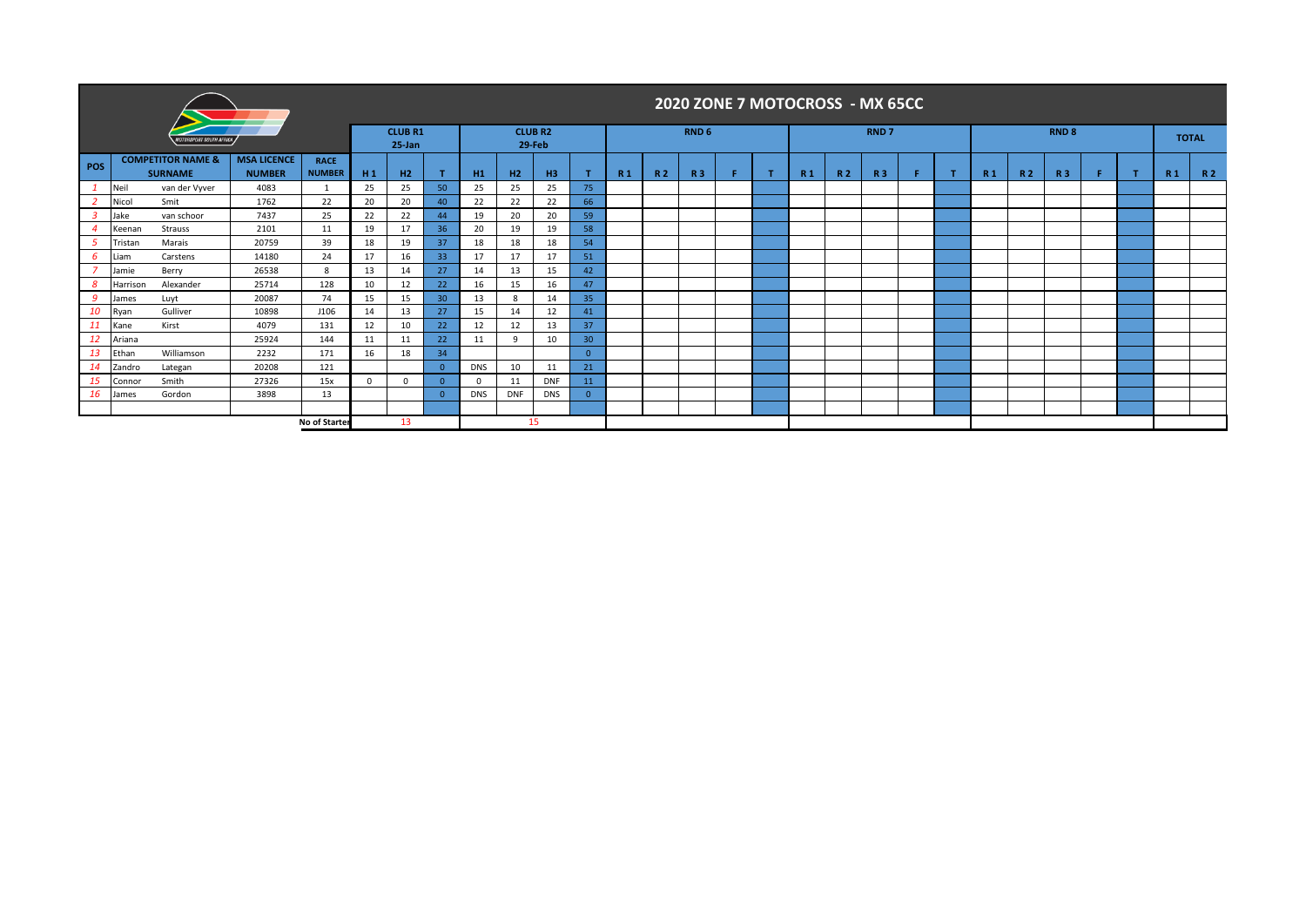|           |                |                                                |                                     |                              |              |                             |                 |            |            |                          |                 |                |     |                  |   |                |     | 2020 ZONE 7 MOTOCROSS - MX 65CC |  |                |     |              |  |                |              |
|-----------|----------------|------------------------------------------------|-------------------------------------|------------------------------|--------------|-----------------------------|-----------------|------------|------------|--------------------------|-----------------|----------------|-----|------------------|---|----------------|-----|---------------------------------|--|----------------|-----|--------------|--|----------------|--------------|
|           |                | <i><b>fotorsport south Africa</b></i>          |                                     |                              |              | <b>CLUB R1</b><br>$25$ -Jan |                 |            |            | <b>CLUB R2</b><br>29-Feb |                 |                |     | RND <sub>6</sub> |   |                |     | RND <sub>7</sub>                |  |                |     | <b>RND 8</b> |  |                | <b>TOTAL</b> |
| POS       |                | <b>COMPETITOR NAME &amp;</b><br><b>SURNAME</b> | <b>MSA LICENCE</b><br><b>NUMBER</b> | <b>RACE</b><br><b>NUMBER</b> | H1           | H2                          |                 | H1         | H2         | H3                       |                 | R <sub>1</sub> | R 2 | <b>R3</b>        | т | R <sub>1</sub> | R 2 | <b>R3</b>                       |  | R <sub>1</sub> | R 2 | <b>R3</b>    |  | R <sub>1</sub> | R 2          |
|           | Neil           | van der Vyver                                  | 4083                                | 1                            | 25           | 25                          | 50              | 25         | 25         | 25                       | 75              |                |     |                  |   |                |     |                                 |  |                |     |              |  |                |              |
|           | Nicol          | Smit                                           | 1762                                | 22                           | 20           | 20                          | 40              | 22         | 22         | 22                       | 66              |                |     |                  |   |                |     |                                 |  |                |     |              |  |                |              |
|           | Jake<br>Keenan | van schoor<br>Strauss                          | 7437<br>2101                        | 25<br>11                     | 22<br>19     | 22<br>17                    | 44<br>36        | 19<br>20   | 20<br>19   | 20<br>19                 | 59<br>58        |                |     |                  |   |                |     |                                 |  |                |     |              |  |                |              |
|           | Tristan        | Marais                                         | 20759                               | 39                           | 18           | 19                          | 37              | 18         | 18         | 18                       | 54              |                |     |                  |   |                |     |                                 |  |                |     |              |  |                |              |
| 6         | Liam           | Carstens                                       | 14180                               | 24                           | 17           | 16                          | 33              | 17         | 17         | 17                       | 51              |                |     |                  |   |                |     |                                 |  |                |     |              |  |                |              |
|           | Jamie          | Berry                                          | 26538                               | 8                            | 13           | 14                          | 27              | 14         | 13         | 15                       | 42              |                |     |                  |   |                |     |                                 |  |                |     |              |  |                |              |
| 8         | Harrison       | Alexander                                      | 25714                               | 128                          | 10           | 12                          | 22              | 16         | 15         | 16                       | 47              |                |     |                  |   |                |     |                                 |  |                |     |              |  |                |              |
| -9        | lames          | Luyt                                           | 20087                               | 74                           | 15           | 15                          | 30 <sup>°</sup> | 13         | 8          | 14                       | 35              |                |     |                  |   |                |     |                                 |  |                |     |              |  |                |              |
| 10        | Ryan           | Gulliver                                       | 10898                               | J106                         | 14           | 13                          | 27              | 15         | 14         | 12                       | 41              |                |     |                  |   |                |     |                                 |  |                |     |              |  |                |              |
| 11        | Kane           | Kirst                                          | 4079                                | 131                          | 12           | 10                          | 22              | 12         | 12         | 13                       | 37              |                |     |                  |   |                |     |                                 |  |                |     |              |  |                |              |
| <b>12</b> | Ariana         |                                                | 25924                               | 144                          | 11           | 11                          | 22              | 11         | 9          | 10                       | 30 <sub>2</sub> |                |     |                  |   |                |     |                                 |  |                |     |              |  |                |              |
| 13        | Ethan          | Williamson                                     | 2232                                | 171                          | 16           | 18                          | 34              |            |            |                          | $\Omega$        |                |     |                  |   |                |     |                                 |  |                |     |              |  |                |              |
| 14        | Zandro         | Lategan                                        | 20208                               | 121                          |              |                             | $\Omega$        | <b>DNS</b> | 10         | 11                       | 21              |                |     |                  |   |                |     |                                 |  |                |     |              |  |                |              |
|           | Connor         | Smith                                          | 27326                               | 15x                          | $\mathbf{0}$ | $\mathbf 0$                 |                 | $\Omega$   | 11         | <b>DNF</b>               | 11              |                |     |                  |   |                |     |                                 |  |                |     |              |  |                |              |
| 16        | lames          | Gordon                                         | 3898                                | 13                           |              |                             | $\Omega$        | <b>DNS</b> | <b>DNF</b> | <b>DNS</b>               | $\overline{0}$  |                |     |                  |   |                |     |                                 |  |                |     |              |  |                |              |
|           |                |                                                |                                     |                              |              |                             |                 |            |            |                          |                 |                |     |                  |   |                |     |                                 |  |                |     |              |  |                |              |
|           |                |                                                |                                     | No of Starter                |              | 13                          |                 |            |            | 15                       |                 |                |     |                  |   |                |     |                                 |  |                |     |              |  |                |              |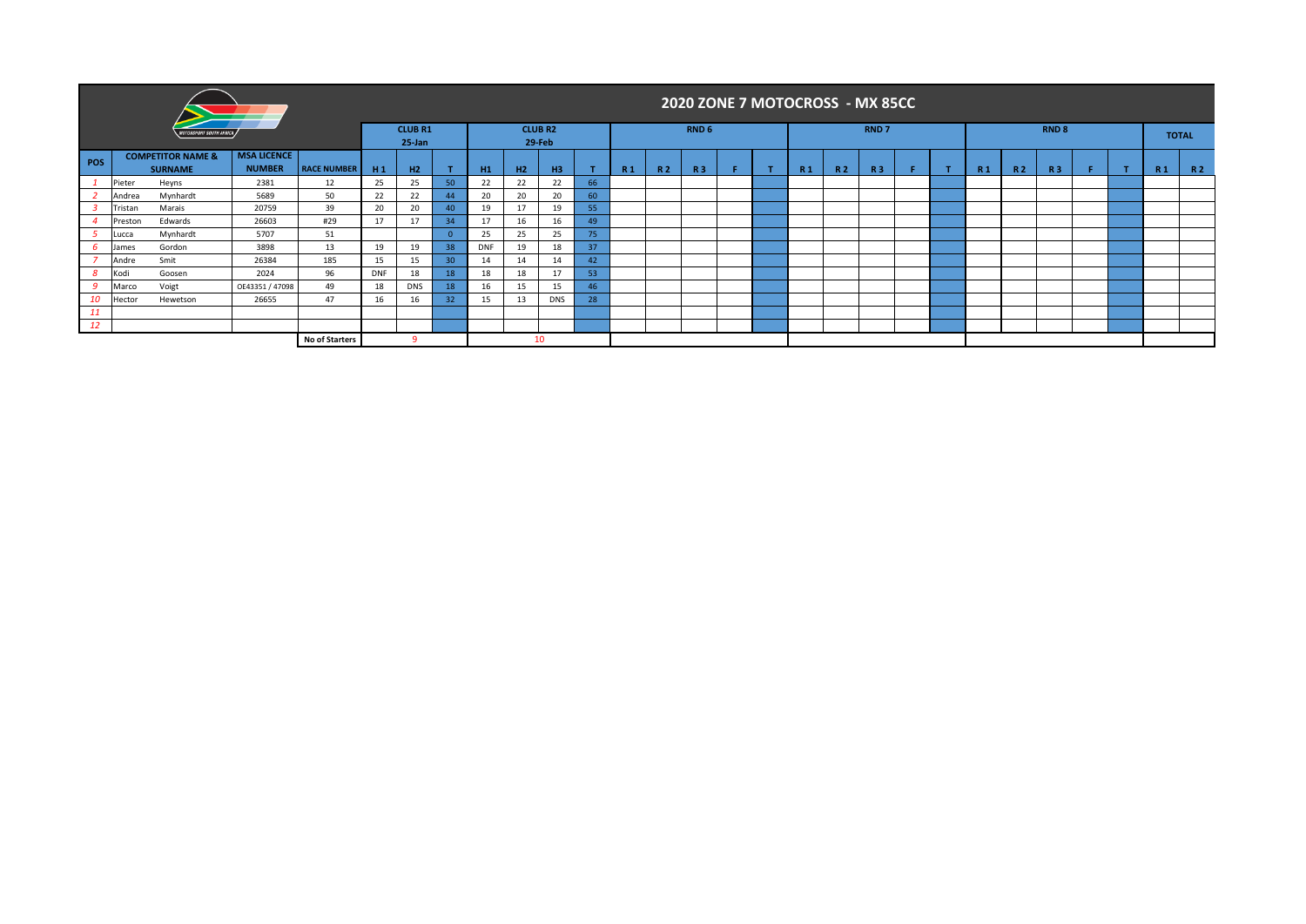|     |         |                                                |                                     |                    |            |                          |          |            |    |                          |    |                |     |                  | 2020 ZONE 7 MOTOCROSS - MX 85CC |                |           |             |  |                |                |                  |  |                |              |
|-----|---------|------------------------------------------------|-------------------------------------|--------------------|------------|--------------------------|----------|------------|----|--------------------------|----|----------------|-----|------------------|---------------------------------|----------------|-----------|-------------|--|----------------|----------------|------------------|--|----------------|--------------|
|     |         | <b>NOTORSPORT SOUTH AFRICA</b>                 |                                     |                    |            | <b>CLUB R1</b><br>25-Jan |          |            |    | <b>CLUB R2</b><br>29-Feb |    |                |     | RND <sub>6</sub> |                                 |                |           | <b>RND7</b> |  |                |                | RND <sub>8</sub> |  |                | <b>TOTAL</b> |
| POS |         | <b>COMPETITOR NAME &amp;</b><br><b>SURNAME</b> | <b>MSA LICENCE</b><br><b>NUMBER</b> | <b>RACE NUMBER</b> | H1         | H2                       |          | H1         | H2 | H3                       |    | R <sub>1</sub> | R 2 | <b>R3</b>        |                                 | R <sub>1</sub> | <b>R2</b> | <b>R3</b>   |  | R <sub>1</sub> | R <sub>2</sub> | <b>R3</b>        |  | R <sub>1</sub> | R 2          |
|     | Pieter  | Heyns                                          | 2381                                | 12                 | 25         | 25                       | 50       | 22         | 22 | 22                       | 66 |                |     |                  |                                 |                |           |             |  |                |                |                  |  |                |              |
|     | Andrea  | Mynhardt                                       | 5689                                | 50                 | 22         | 22                       | 44       | 20         | 20 | 20                       | 60 |                |     |                  |                                 |                |           |             |  |                |                |                  |  |                |              |
|     | Tristan | Marais                                         | 20759                               | 39                 | 20         | 20                       | 40       | 19         | 17 | 19                       | 55 |                |     |                  |                                 |                |           |             |  |                |                |                  |  |                |              |
|     | Preston | Edwards                                        | 26603                               | #29                | 17         | 17                       | 34       | 17         | 16 | 16                       | 49 |                |     |                  |                                 |                |           |             |  |                |                |                  |  |                |              |
|     | Lucca   | Mynhardt                                       | 5707                                | 51                 |            |                          | $\Omega$ | 25         | 25 | 25                       | 75 |                |     |                  |                                 |                |           |             |  |                |                |                  |  |                |              |
|     | James   | Gordon                                         | 3898                                | 13                 | 19         | 19                       | 38       | <b>DNF</b> | 19 | 18                       | 37 |                |     |                  |                                 |                |           |             |  |                |                |                  |  |                |              |
|     | Andre   | Smit                                           | 26384                               | 185                | 15         | 15                       | 30       | 14         | 14 | 14                       | 42 |                |     |                  |                                 |                |           |             |  |                |                |                  |  |                |              |
| 8   | Kodi    | Goosen                                         | 2024                                | 96                 | <b>DNF</b> | 18                       | 18       | 18         | 18 | 17                       | 53 |                |     |                  |                                 |                |           |             |  |                |                |                  |  |                |              |
| -9  | Marco   | Voigt                                          | OE43351 / 47098                     | 49                 | 18         | <b>DNS</b>               | 18       | 16         | 15 | 15                       | 46 |                |     |                  |                                 |                |           |             |  |                |                |                  |  |                |              |
| 10  | Hector  | Hewetson                                       | 26655                               | 47                 | 16         | 16                       | 32       | 15         | 13 | <b>DNS</b>               | 28 |                |     |                  |                                 |                |           |             |  |                |                |                  |  |                |              |
| 11  |         |                                                |                                     |                    |            |                          |          |            |    |                          |    |                |     |                  |                                 |                |           |             |  |                |                |                  |  |                |              |
| 12  |         |                                                |                                     |                    |            |                          |          |            |    |                          |    |                |     |                  |                                 |                |           |             |  |                |                |                  |  |                |              |
|     |         |                                                |                                     | No of Starters     |            | ٩                        |          |            |    | 10                       |    |                |     |                  |                                 |                |           |             |  |                |                |                  |  |                |              |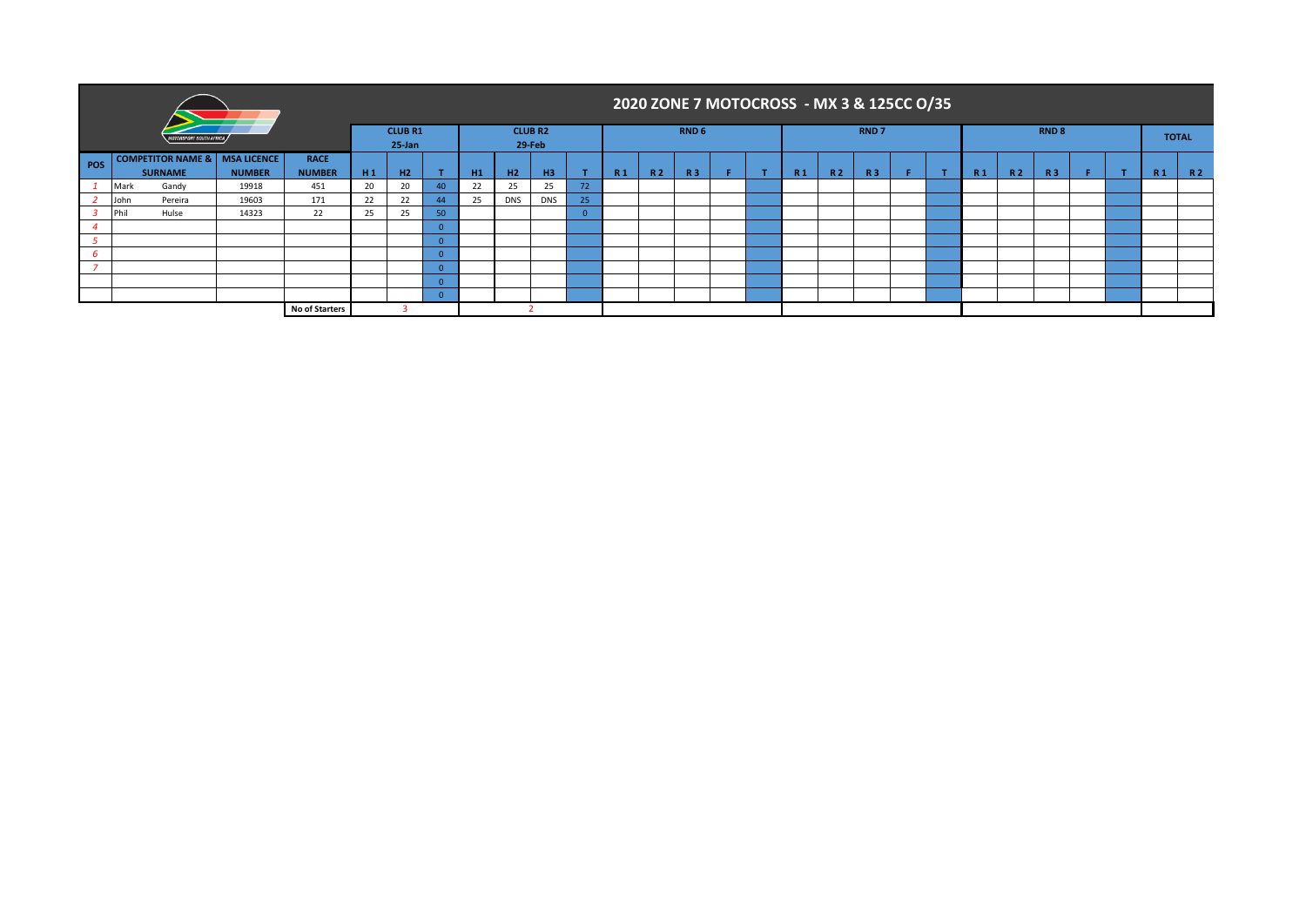|                              |                                 |               |                |    |                              |          |    |                |                          |    |                |           |                  | 2020 ZONE 7 MOTOCROSS - MX 3 & 125CC O/35 |    |                |                |                  |  |                |           |                  |  |                |              |
|------------------------------|---------------------------------|---------------|----------------|----|------------------------------|----------|----|----------------|--------------------------|----|----------------|-----------|------------------|-------------------------------------------|----|----------------|----------------|------------------|--|----------------|-----------|------------------|--|----------------|--------------|
|                              |                                 |               |                |    | <b>CLUB R1</b><br>$25 - Jan$ |          |    |                | <b>CLUB R2</b><br>29-Feb |    |                |           | RND <sub>6</sub> |                                           |    |                |                | RND <sub>7</sub> |  |                |           | RND <sub>8</sub> |  |                | <b>TOTAL</b> |
| $\overline{\phantom{a}}$ POS | COMPETITOR NAME &   MSA LICENCE |               | <b>RACE</b>    |    |                              |          |    |                |                          |    |                |           |                  |                                           |    |                |                |                  |  |                |           |                  |  |                |              |
|                              | <b>SURNAME</b>                  | <b>NUMBER</b> | <b>NUMBER</b>  | H1 | H <sub>2</sub>               |          | H1 | H <sub>2</sub> | H <sub>3</sub>           |    | R <sub>1</sub> | <b>R2</b> | <b>R3</b>        |                                           | л. | R <sub>1</sub> | R <sub>2</sub> | <b>R3</b>        |  | R <sub>1</sub> | <b>R2</b> | <b>R3</b>        |  | R <sub>1</sub> | R 2          |
|                              | Gandy<br>Mark                   | 19918         | 451            | 20 | 20                           | 40       | 22 | 25             | 25                       | 72 |                |           |                  |                                           |    |                |                |                  |  |                |           |                  |  |                |              |
|                              | Pereira<br>John                 | 19603         | 171            | 22 | 22                           | 44       | 25 | <b>DNS</b>     | <b>DNS</b>               | 25 |                |           |                  |                                           |    |                |                |                  |  |                |           |                  |  |                |              |
|                              | Phil<br>Hulse                   | 14323         | 22             | 25 | 25                           | 50       |    |                |                          |    |                |           |                  |                                           |    |                |                |                  |  |                |           |                  |  |                |              |
|                              |                                 |               |                |    |                              |          |    |                |                          |    |                |           |                  |                                           |    |                |                |                  |  |                |           |                  |  |                |              |
| ்                            |                                 |               |                |    |                              |          |    |                |                          |    |                |           |                  |                                           |    |                |                |                  |  |                |           |                  |  |                |              |
|                              |                                 |               |                |    |                              |          |    |                |                          |    |                |           |                  |                                           |    |                |                |                  |  |                |           |                  |  |                |              |
|                              |                                 |               |                |    |                              |          |    |                |                          |    |                |           |                  |                                           |    |                |                |                  |  |                |           |                  |  |                |              |
|                              |                                 |               |                |    |                              | $\Omega$ |    |                |                          |    |                |           |                  |                                           |    |                |                |                  |  |                |           |                  |  |                |              |
|                              |                                 |               |                |    |                              | $\Omega$ |    |                |                          |    |                |           |                  |                                           |    |                |                |                  |  |                |           |                  |  |                |              |
|                              |                                 |               | No of Starters |    |                              |          |    |                |                          |    |                |           |                  |                                           |    |                |                |                  |  |                |           |                  |  |                |              |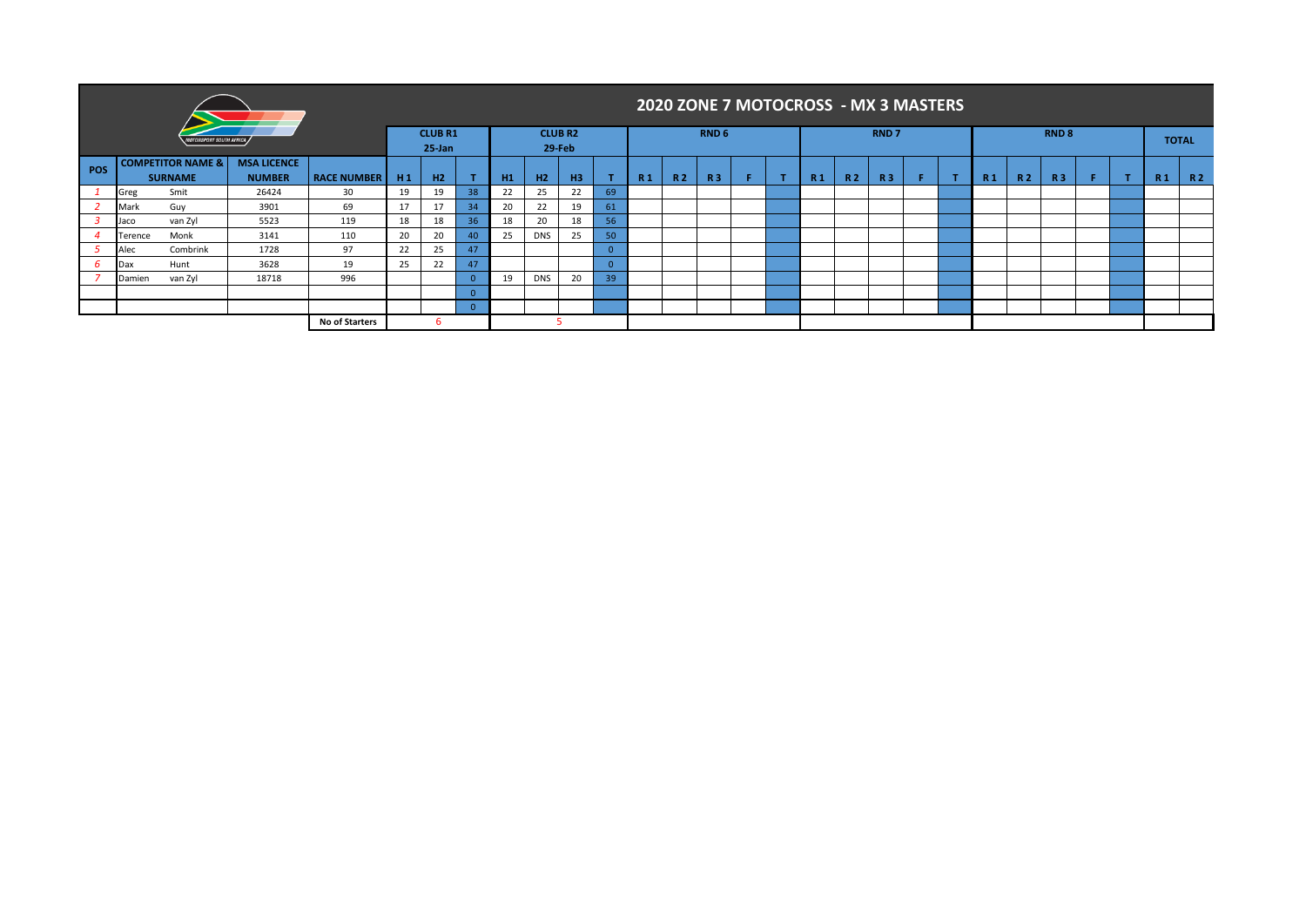|     |         |                                                |                                     |                    |    |                              |          |    |            |                          |    |                |           |                  | 2020 ZONE 7 MOTOCROSS - MX 3 MASTERS |                |     |                  |   |    |                |                  |    |                |              |
|-----|---------|------------------------------------------------|-------------------------------------|--------------------|----|------------------------------|----------|----|------------|--------------------------|----|----------------|-----------|------------------|--------------------------------------|----------------|-----|------------------|---|----|----------------|------------------|----|----------------|--------------|
|     |         | <b>OTORSPORT SOUTH AFRICA</b>                  |                                     |                    |    | <b>CLUB R1</b><br>$25 - Jan$ |          |    |            | <b>CLUB R2</b><br>29-Feb |    |                |           | RND <sub>6</sub> |                                      |                |     | RND <sub>7</sub> |   |    |                | RND <sub>8</sub> |    |                | <b>TOTAL</b> |
| POS |         | <b>COMPETITOR NAME &amp;</b><br><b>SURNAME</b> | <b>MSA LICENCE</b><br><b>NUMBER</b> | <b>RACE NUMBER</b> | H1 | H2                           |          | H1 | H2         | H <sub>3</sub>           |    | R <sub>1</sub> | <b>R2</b> | R3               | F                                    | R <sub>1</sub> | R 2 | <b>R3</b>        | F | R1 | R <sub>2</sub> | R <sub>3</sub>   | F. | R <sub>1</sub> | <b>R2</b>    |
|     | Greg    | Smit                                           | 26424                               | 30                 | 19 | 19                           | 38       | 22 | 25         | 22                       | 69 |                |           |                  |                                      |                |     |                  |   |    |                |                  |    |                |              |
|     | Mark    | Guy                                            | 3901                                | 69                 | 17 | 17                           | 34       | 20 | 22         | 19                       | 61 |                |           |                  |                                      |                |     |                  |   |    |                |                  |    |                |              |
|     | Jaco    | van Zyl                                        | 5523                                | 119                | 18 | 18                           | 36       | 18 | 20         | 18                       | 56 |                |           |                  |                                      |                |     |                  |   |    |                |                  |    |                |              |
|     | Terence | Monk                                           | 3141                                | 110                | 20 | 20                           | 40       | 25 | <b>DNS</b> | 25                       | 50 |                |           |                  |                                      |                |     |                  |   |    |                |                  |    |                |              |
|     | Alec    | Combrink                                       | 1728                                | 97                 | 22 | 25                           | 47       |    |            |                          |    |                |           |                  |                                      |                |     |                  |   |    |                |                  |    |                |              |
|     | Jax     | Hunt                                           | 3628                                | 19                 | 25 | 22                           | 47       |    |            |                          |    |                |           |                  |                                      |                |     |                  |   |    |                |                  |    |                |              |
|     | Damien  | van Zyl                                        | 18718                               | 996                |    |                              | $\Omega$ | 19 | <b>DNS</b> | 20                       | 39 |                |           |                  |                                      |                |     |                  |   |    |                |                  |    |                |              |
|     |         |                                                |                                     |                    |    |                              | $\Omega$ |    |            |                          |    |                |           |                  |                                      |                |     |                  |   |    |                |                  |    |                |              |
|     |         |                                                |                                     |                    |    | $\overline{0}$               |          |    |            |                          |    |                |           |                  |                                      |                |     |                  |   |    |                |                  |    |                |              |
|     |         |                                                | <b>No of Starters</b>               |                    |    |                              |          |    |            |                          |    |                |           |                  |                                      |                |     |                  |   |    |                |                  |    |                |              |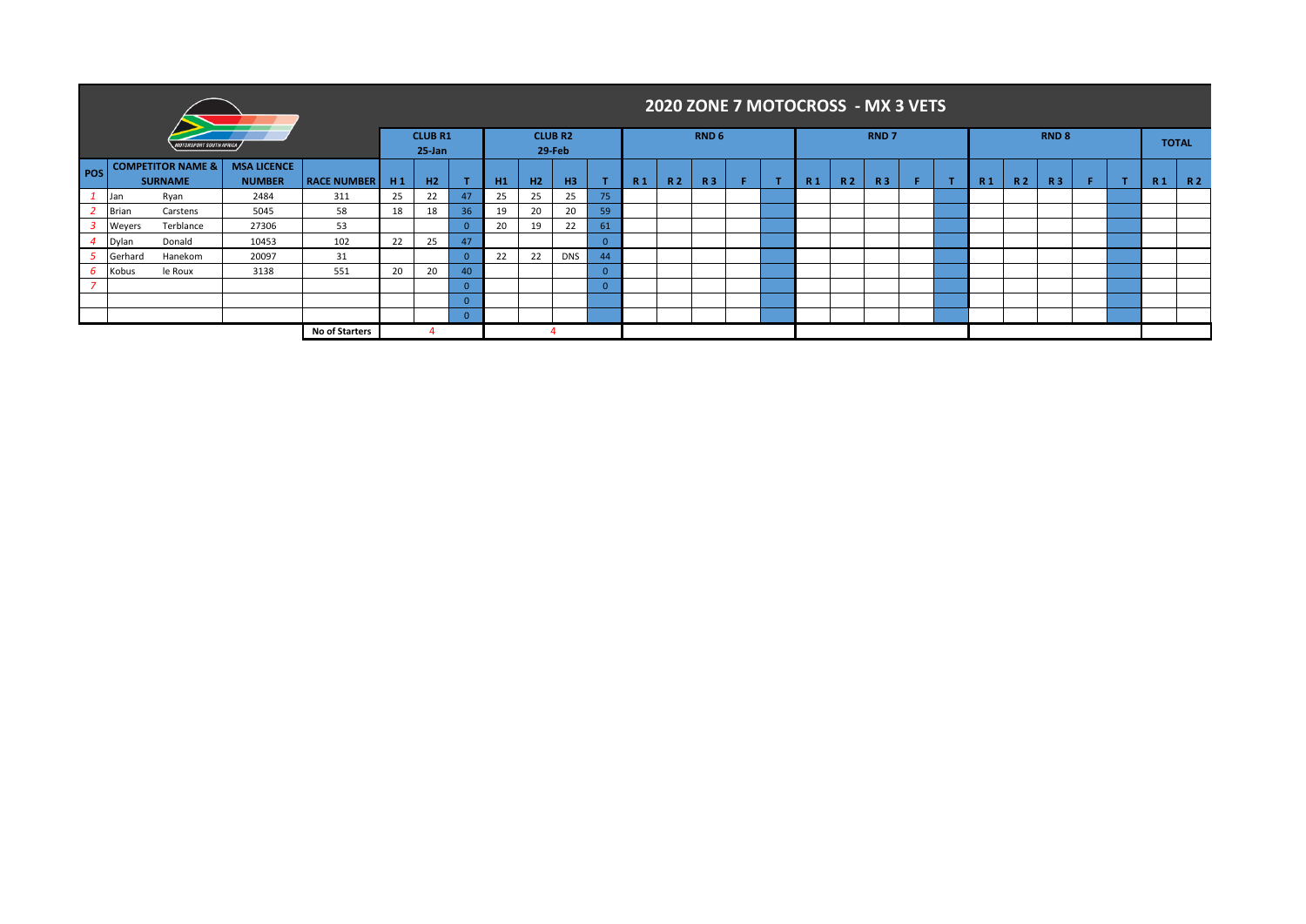|                          |              |                                                |                    |                       |                |                             |          |    |                |                          |                 |           |           |                  |                | 2020 ZONE 7 MOTOCROSS - MX 3 VETS |           |             |                |                |           |                  |     |                |              |
|--------------------------|--------------|------------------------------------------------|--------------------|-----------------------|----------------|-----------------------------|----------|----|----------------|--------------------------|-----------------|-----------|-----------|------------------|----------------|-----------------------------------|-----------|-------------|----------------|----------------|-----------|------------------|-----|----------------|--------------|
|                          |              | <b>10TORSPORT SOUTH AFRICA</b>                 |                    |                       |                | <b>CLUB R1</b><br>$25$ -Jan |          |    |                | <b>CLUB R2</b><br>29-Feb |                 |           |           | RND <sub>6</sub> |                |                                   |           | <b>RND7</b> |                |                |           | RND <sub>8</sub> |     |                | <b>TOTAL</b> |
| <b>POS</b>               |              | <b>COMPETITOR NAME &amp;</b><br><b>SURNAME</b> | <b>RACE NUMBER</b> | H1                    | H <sub>2</sub> |                             | H1       | H2 | H <sub>3</sub> |                          | R <sub>1</sub>  | <b>R2</b> | <b>R3</b> | ×                | R <sub>1</sub> | R <sub>2</sub>                    | <b>R3</b> | F.          | R <sub>1</sub> | R <sub>2</sub> | <b>R3</b> |                  | R 1 | R <sub>2</sub> |              |
|                          | Jan          | Ryan                                           | 2484               | 311                   | 25             | 22                          | 47       | 25 | 25             | 25                       | 75              |           |           |                  |                |                                   |           |             |                |                |           |                  |     |                |              |
|                          | <b>Brian</b> | Carstens                                       | 5045               | 58                    | 18             | 18                          | 36       | 19 | 20             | 20                       | 59 <sub>1</sub> |           |           |                  |                |                                   |           |             |                |                |           |                  |     |                |              |
|                          | Weyers       | Terblance                                      | 27306              | 53                    |                |                             |          | 20 | 19             | 22                       | 61              |           |           |                  |                |                                   |           |             |                |                |           |                  |     |                |              |
|                          | Dylan        | Donald                                         | 10453              | 102                   | 22             | 25                          | 47       |    |                |                          | $\Omega$        |           |           |                  |                |                                   |           |             |                |                |           |                  |     |                |              |
| - 5                      | Gerhard      | Hanekom                                        | 20097              | 31                    |                |                             |          | 22 | 22             | <b>DNS</b>               | 44              |           |           |                  |                |                                   |           |             |                |                |           |                  |     |                |              |
| 6                        | Kobus        | le Roux                                        | 3138               | 551                   | 20             | 20                          | 40       |    |                |                          | $\Omega$        |           |           |                  |                |                                   |           |             |                |                |           |                  |     |                |              |
| $\overline{\phantom{a}}$ |              |                                                |                    |                       |                |                             | $\Omega$ |    |                |                          | $\Omega$        |           |           |                  |                |                                   |           |             |                |                |           |                  |     |                |              |
|                          |              |                                                |                    |                       |                |                             |          |    |                |                          |                 |           |           |                  |                |                                   |           |             |                |                |           |                  |     |                |              |
|                          |              |                                                |                    |                       |                |                             |          |    |                |                          |                 |           |           |                  |                |                                   |           |             |                |                |           |                  |     |                |              |
|                          |              |                                                |                    | <b>No of Starters</b> |                |                             |          |    |                |                          |                 |           |           |                  |                |                                   |           |             |                |                |           |                  |     |                |              |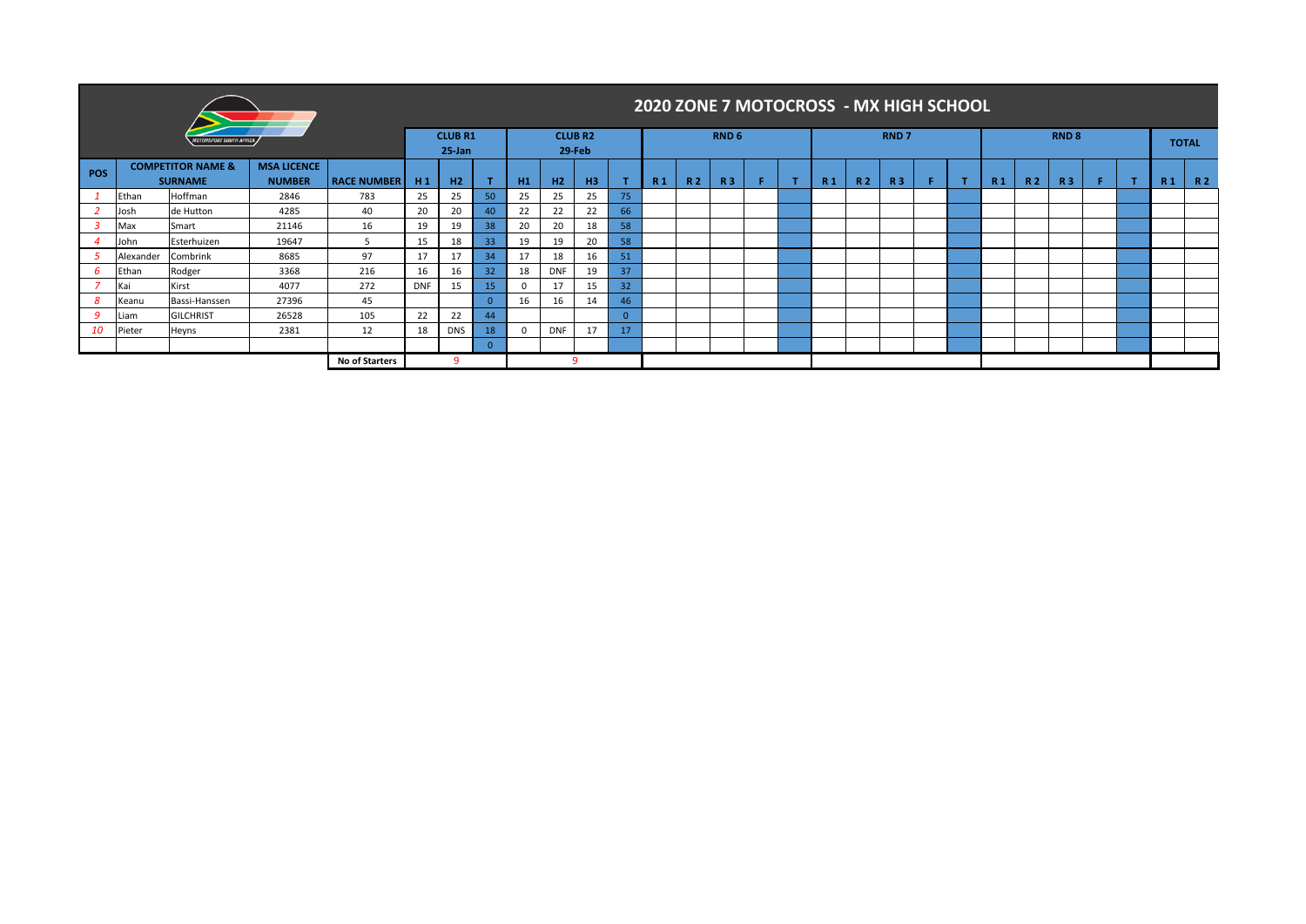|     |                              |                              |                    |                |            |                              |                 |            |                |                          |                |     |           |                  |                |                |                | 2020 ZONE 7 MOTOCROSS - MX HIGH SCHOOL |                |           |           |              |   |                |     |              |
|-----|------------------------------|------------------------------|--------------------|----------------|------------|------------------------------|-----------------|------------|----------------|--------------------------|----------------|-----|-----------|------------------|----------------|----------------|----------------|----------------------------------------|----------------|-----------|-----------|--------------|---|----------------|-----|--------------|
|     |                              | <b>TORSPORT SOUTH AFRICA</b> |                    |                |            | <b>CLUB R1</b><br>$25 - Jan$ |                 |            |                | <b>CLUB R2</b><br>29-Feb |                |     |           | RND <sub>6</sub> |                |                |                | <b>RND7</b>                            |                |           |           | <b>RND 8</b> |   |                |     | <b>TOTAL</b> |
| POS | <b>COMPETITOR NAME &amp;</b> |                              |                    |                |            |                              |                 |            |                |                          |                |     |           |                  |                |                |                |                                        |                |           |           |              |   |                |     |              |
|     |                              | <b>SURNAME</b>               | <b>RACE NUMBER</b> | H <sub>1</sub> | H2         |                              | H1              | H2         | H <sub>3</sub> |                          | R <sub>1</sub> | R 2 | <b>R3</b> | л                | R <sub>1</sub> | R <sub>2</sub> | R <sub>3</sub> |                                        | R <sub>1</sub> | <b>R2</b> | <b>R3</b> | F.           | л | R <sub>1</sub> | R 2 |              |
|     | Ethan                        | Hoffman                      | 783                | 25             | 25         | 50                           | 25              | 25         | 25             | 75                       |                |     |           |                  |                |                |                |                                        |                |           |           |              |   |                |     |              |
|     | Josh                         | de Hutton                    | 4285               | 40             | 20         | 20                           | 40              | 22         | 22             | 22                       | 66             |     |           |                  |                |                |                |                                        |                |           |           |              |   |                |     |              |
|     | Max                          | Smart                        | 16                 | 19             | 19         | 38                           | 20              | 20         | 18             | 58                       |                |     |           |                  |                |                |                |                                        |                |           |           |              |   |                |     |              |
|     | John                         | Esterhuizen                  | 19647              |                | 15         | 18                           | 33              | 19         | 19             | 20                       | 58             |     |           |                  |                |                |                |                                        |                |           |           |              |   |                |     |              |
|     | Alexander                    | Combrink                     | 8685               | 97             | 17         | 17                           | 34              | 17         | 18             | 16                       | 51             |     |           |                  |                |                |                |                                        |                |           |           |              |   |                |     |              |
| -6  | Ethan                        | Rodger                       | 3368               | 216            | 16         | 16                           | 32 <sup>2</sup> | 18         | <b>DNF</b>     | 19                       | 37             |     |           |                  |                |                |                |                                        |                |           |           |              |   |                |     |              |
|     | Kai                          | Kirst                        | 4077               | 272            | <b>DNF</b> | 15                           | 15              | $\Omega$   | 17             |                          | 32             |     |           |                  |                |                |                |                                        |                |           |           |              |   |                |     |              |
| 8   | Keanu                        | Bassi-Hanssen                | 45                 |                |            | $\Omega$                     | 16              | 16         | 14             | 46                       |                |     |           |                  |                |                |                |                                        |                |           |           |              |   |                |     |              |
| 9   | Liam                         | <b>GILCHRIST</b>             | 105                | 22             | 22         | 44                           |                 |            |                |                          |                |     |           |                  |                |                |                |                                        |                |           |           |              |   |                |     |              |
| 10  | Pieter                       | Heyns                        | 12                 | 18             | <b>DNS</b> | 18                           | 0               | <b>DNF</b> | 17             | 17                       |                |     |           |                  |                |                |                |                                        |                |           |           |              |   |                |     |              |
|     |                              |                              |                    |                |            | $\Omega$                     |                 |            |                |                          |                |     |           |                  |                |                |                |                                        |                |           |           |              |   |                |     |              |
|     |                              |                              |                    |                |            |                              |                 |            |                |                          |                |     |           |                  |                |                |                |                                        |                |           |           |              |   |                |     |              |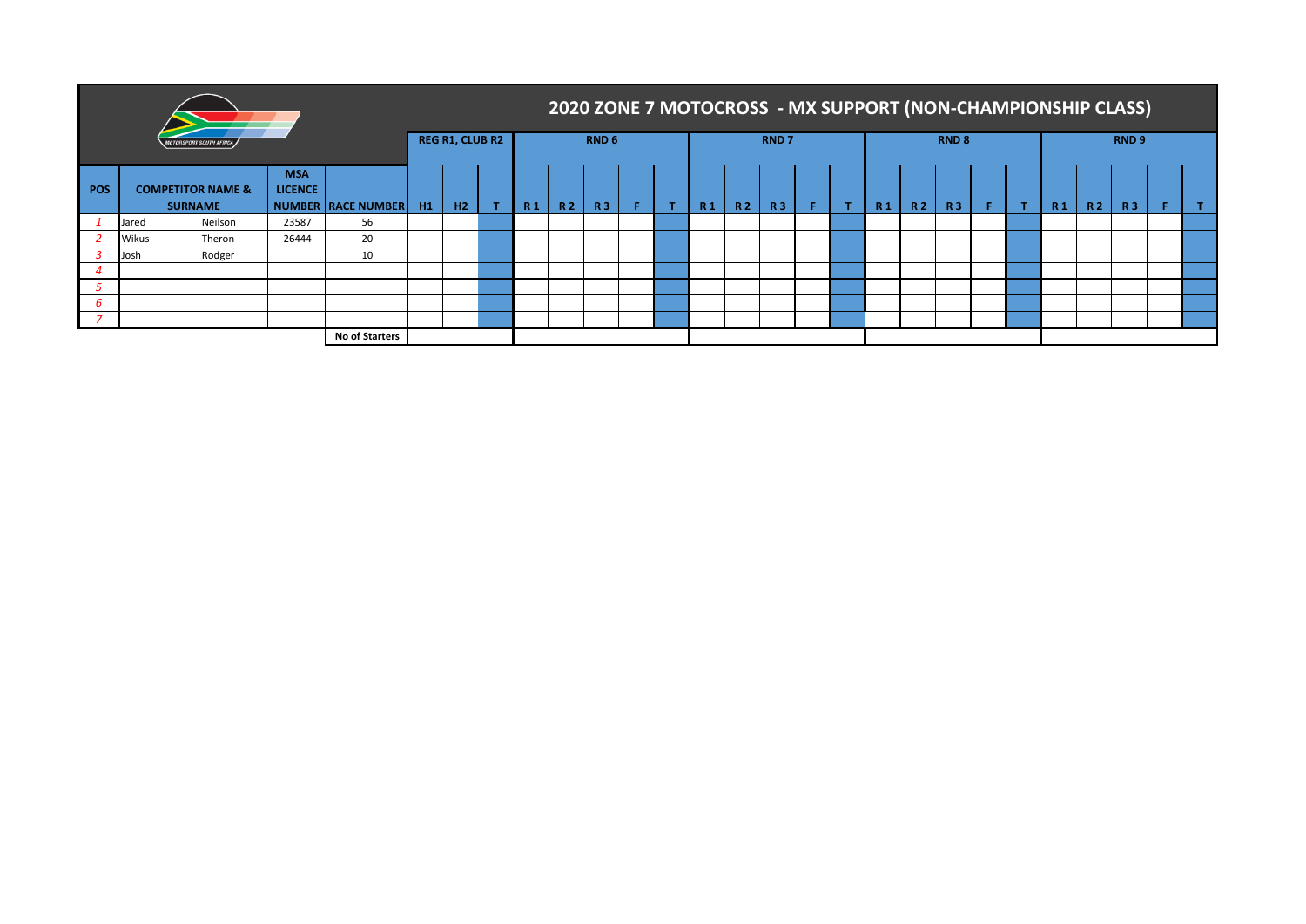|            |       |                                                |                    |                |    |                        |           |                |           |                  | 2020 ZONE 7 MOTOCROSS - MX SUPPORT (NON-CHAMPIONSHIP CLASS) |           |           |                  |           |                |           |                  |                |                |           |                  |  |
|------------|-------|------------------------------------------------|--------------------|----------------|----|------------------------|-----------|----------------|-----------|------------------|-------------------------------------------------------------|-----------|-----------|------------------|-----------|----------------|-----------|------------------|----------------|----------------|-----------|------------------|--|
|            |       |                                                |                    |                |    | <b>REG R1, CLUB R2</b> |           |                |           | RND <sub>6</sub> |                                                             |           |           | RND <sub>7</sub> |           |                |           | RND <sub>8</sub> |                |                |           | RND <sub>9</sub> |  |
| <b>POS</b> |       | <b>COMPETITOR NAME &amp;</b><br><b>SURNAME</b> | NUMBER RACE NUMBER | H1             | H2 | Æ                      | <b>R1</b> | R <sub>2</sub> | <b>R3</b> |                  | <b>R1</b>                                                   | <b>R2</b> | <b>R3</b> |                  | <b>R1</b> | R <sub>2</sub> | <b>R3</b> |                  | R <sub>1</sub> | R <sub>2</sub> | <b>R3</b> |                  |  |
|            | Jared | Neilson                                        | 56                 |                |    |                        |           |                |           |                  |                                                             |           |           |                  |           |                |           |                  |                |                |           |                  |  |
|            | Wikus | Theron                                         | 26444              | 20             |    |                        |           |                |           |                  |                                                             |           |           |                  |           |                |           |                  |                |                |           |                  |  |
|            | Josh  | Rodger                                         |                    | 10             |    |                        |           |                |           |                  |                                                             |           |           |                  |           |                |           |                  |                |                |           |                  |  |
|            |       |                                                |                    |                |    |                        |           |                |           |                  |                                                             |           |           |                  |           |                |           |                  |                |                |           |                  |  |
|            |       |                                                |                    |                |    |                        |           |                |           |                  |                                                             |           |           |                  |           |                |           |                  |                |                |           |                  |  |
|            |       |                                                |                    |                |    |                        |           |                |           |                  |                                                             |           |           |                  |           |                |           |                  |                |                |           |                  |  |
|            |       |                                                |                    |                |    |                        |           |                |           |                  |                                                             |           |           |                  |           |                |           |                  |                |                |           |                  |  |
|            |       |                                                |                    | No of Starters |    |                        |           |                |           |                  |                                                             |           |           |                  |           |                |           |                  |                |                |           |                  |  |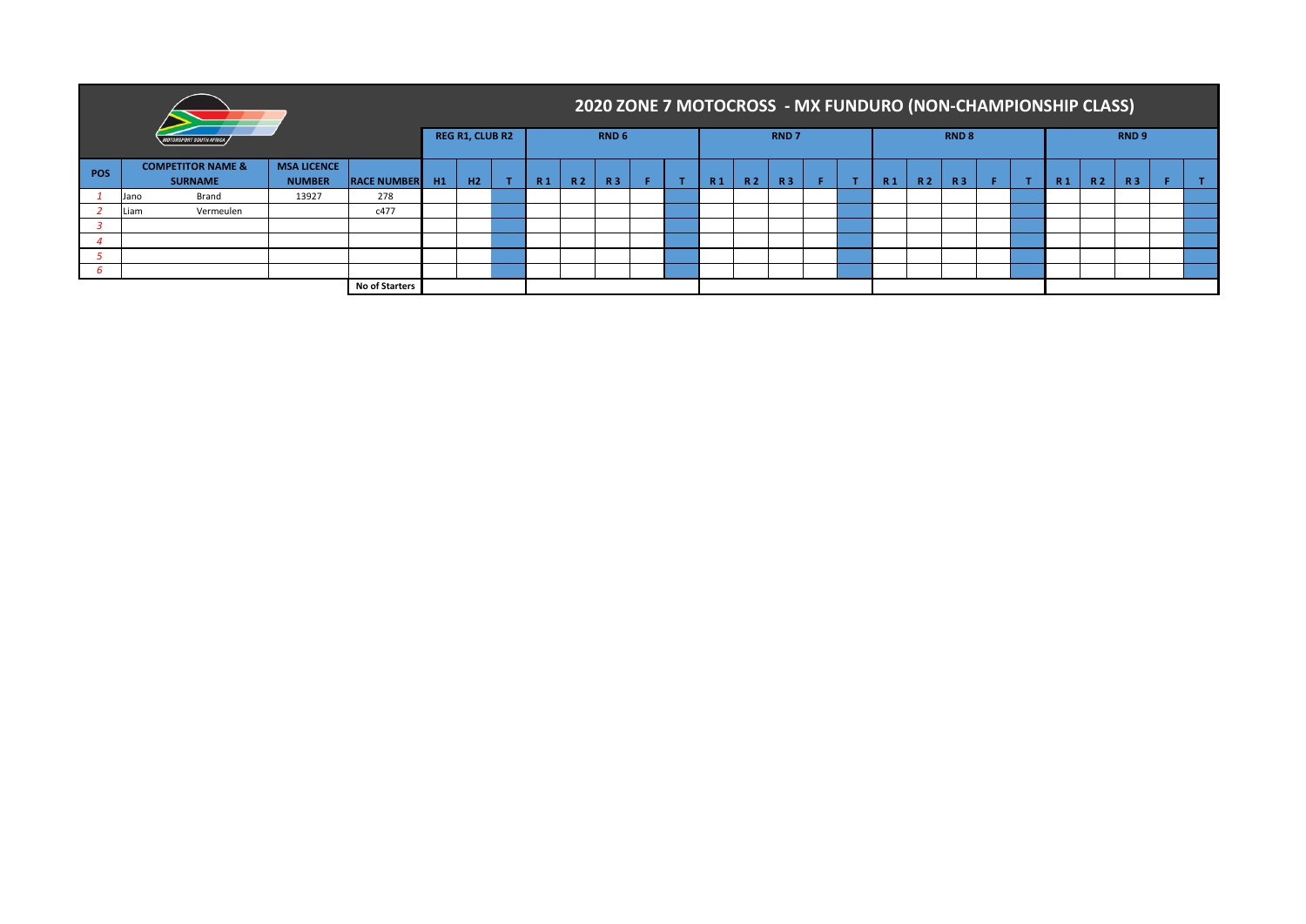|     |      |                                                |                                     |                       |    |                        |                |     |                  |  |    |           |                  |  | 2020 ZONE 7 MOTOCROSS - MX FUNDURO (NON-CHAMPIONSHIP CLASS) |     |                  |    |                |           |                  |  |
|-----|------|------------------------------------------------|-------------------------------------|-----------------------|----|------------------------|----------------|-----|------------------|--|----|-----------|------------------|--|-------------------------------------------------------------|-----|------------------|----|----------------|-----------|------------------|--|
|     |      | OTORSPORT SOUTH AFRICA .                       |                                     |                       |    | <b>REG R1, CLUB R2</b> |                |     | RND <sub>6</sub> |  |    |           | RND <sub>7</sub> |  |                                                             |     | RND <sub>8</sub> |    |                |           | RND <sub>9</sub> |  |
| POS |      | <b>COMPETITOR NAME &amp;</b><br><b>SURNAME</b> | <b>MSA LICENCE</b><br><b>NUMBER</b> | <b>RACE NUMBER</b>    | H1 | H2                     | R <sub>1</sub> | R 2 | <b>R3</b>        |  | R1 | <b>R2</b> | <b>R3</b>        |  | R <sub>1</sub>                                              | R 2 | <b>R3</b>        | F. | R <sub>1</sub> | <b>R2</b> | <b>R3</b>        |  |
|     | Jano | Brand                                          | 13927                               | 278                   |    |                        |                |     |                  |  |    |           |                  |  |                                                             |     |                  |    |                |           |                  |  |
|     | Liam | Vermeulen                                      |                                     | c477                  |    |                        |                |     |                  |  |    |           |                  |  |                                                             |     |                  |    |                |           |                  |  |
|     |      |                                                |                                     |                       |    |                        |                |     |                  |  |    |           |                  |  |                                                             |     |                  |    |                |           |                  |  |
|     |      |                                                |                                     |                       |    |                        |                |     |                  |  |    |           |                  |  |                                                             |     |                  |    |                |           |                  |  |
|     |      |                                                |                                     |                       |    |                        |                |     |                  |  |    |           |                  |  |                                                             |     |                  |    |                |           |                  |  |
|     |      |                                                |                                     |                       |    |                        |                |     |                  |  |    |           |                  |  |                                                             |     |                  |    |                |           |                  |  |
|     |      |                                                |                                     | <b>No of Starters</b> |    |                        |                |     |                  |  |    |           |                  |  |                                                             |     |                  |    |                |           |                  |  |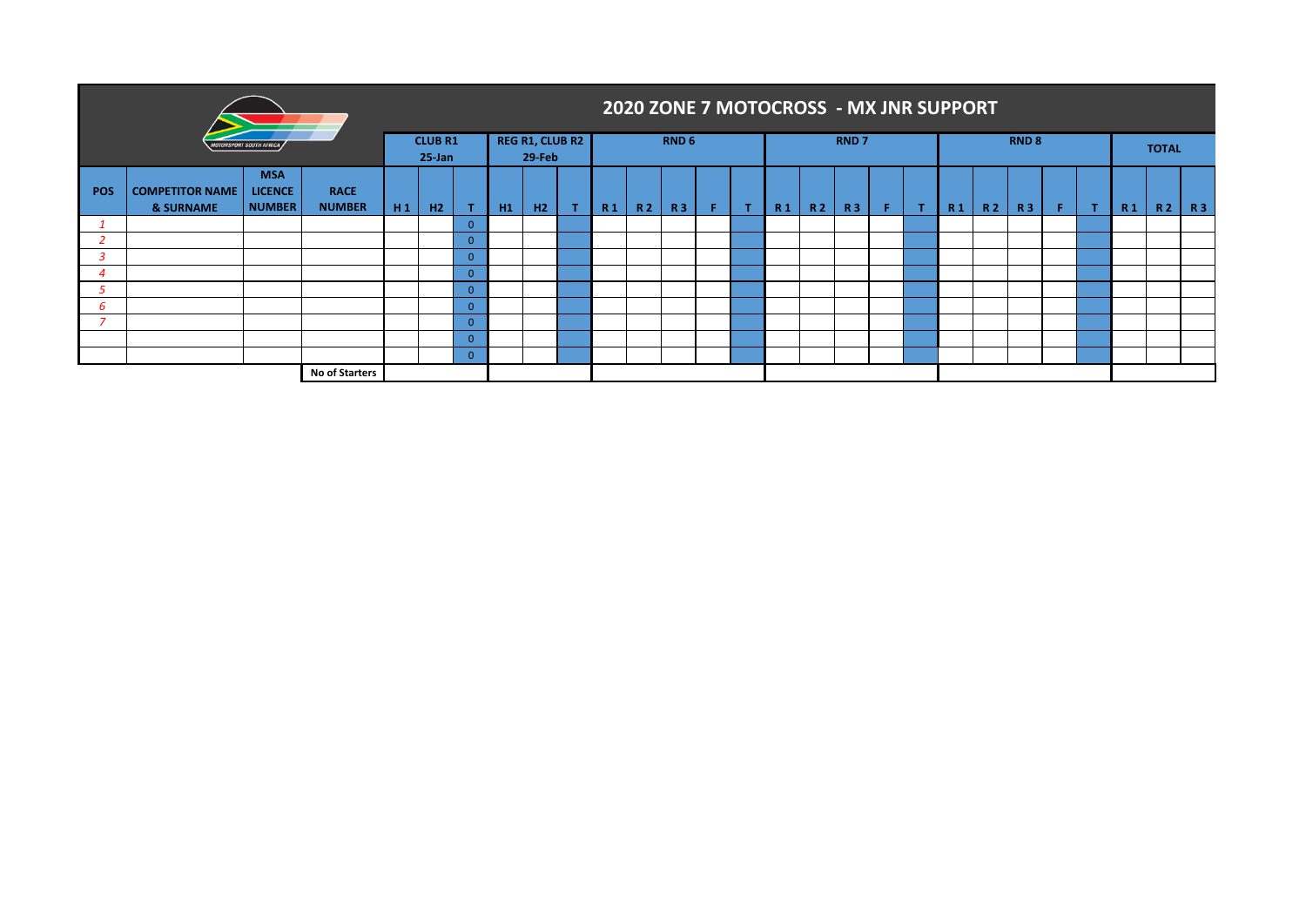|            |                                     |                                |                       |    |                             |          |    |                                         | 2020 ZONE 7 MOTOCROSS - MX JNR SUPPORT |           |                  |                |     |           |             |             |                |           |           |                  |    |                |           |              |  |
|------------|-------------------------------------|--------------------------------|-----------------------|----|-----------------------------|----------|----|-----------------------------------------|----------------------------------------|-----------|------------------|----------------|-----|-----------|-------------|-------------|----------------|-----------|-----------|------------------|----|----------------|-----------|--------------|--|
|            |                                     | <b>10TORSPORT SOUTH AFRICA</b> |                       |    | <b>CLUB R1</b><br>$25$ -Jan |          |    | <b>REG R1, CLUB R2</b><br><b>29-Feb</b> |                                        |           | RND <sub>6</sub> |                |     |           | <b>RND7</b> |             |                |           |           | RND <sub>8</sub> |    |                |           | <b>TOTAL</b> |  |
| <b>POS</b> | <b>COMPETITOR NAME</b><br>& SURNAME | <b>RACE</b><br><b>NUMBER</b>   | H1                    | H2 |                             | H1       | H2 | R <sub>1</sub>                          | <b>R2</b>                              | <b>R3</b> | $\mathbf{T}$     | R <sub>1</sub> | R 2 | <b>R3</b> | F.          | $\mathbf T$ | R <sub>1</sub> | <b>R2</b> | <b>R3</b> | F.               | п. | R <sub>1</sub> | <b>R2</b> | <b>R3</b>    |  |
|            |                                     |                                |                       |    |                             | $\Omega$ |    |                                         |                                        |           |                  |                |     |           |             |             |                |           |           |                  |    |                |           |              |  |
|            |                                     |                                |                       |    |                             | $\Omega$ |    |                                         |                                        |           |                  |                |     |           |             |             |                |           |           |                  |    |                |           |              |  |
|            |                                     |                                |                       |    |                             | $\Omega$ |    |                                         |                                        |           |                  |                |     |           |             |             |                |           |           |                  |    |                |           |              |  |
|            |                                     |                                |                       |    |                             | $\Omega$ |    |                                         |                                        |           |                  |                |     |           |             |             |                |           |           |                  |    |                |           |              |  |
|            |                                     |                                |                       |    |                             | $\Omega$ |    |                                         |                                        |           |                  |                |     |           |             |             |                |           |           |                  |    |                |           |              |  |
| 6          |                                     |                                |                       |    |                             | $\Omega$ |    |                                         |                                        |           |                  |                |     |           |             |             |                |           |           |                  |    |                |           |              |  |
|            |                                     |                                |                       |    | $\Omega$                    |          |    |                                         |                                        |           |                  |                |     |           |             |             |                |           |           |                  |    |                |           |              |  |
|            |                                     |                                |                       |    | $\Omega$                    |          |    |                                         |                                        |           |                  |                |     |           |             |             |                |           |           |                  |    |                |           |              |  |
|            |                                     |                                |                       |    | $\Omega$                    |          |    |                                         |                                        |           |                  |                |     |           |             |             |                |           |           |                  |    |                |           |              |  |
|            |                                     |                                | <b>No of Starters</b> |    |                             |          |    |                                         |                                        |           |                  |                |     |           |             |             |                |           |           |                  |    |                |           |              |  |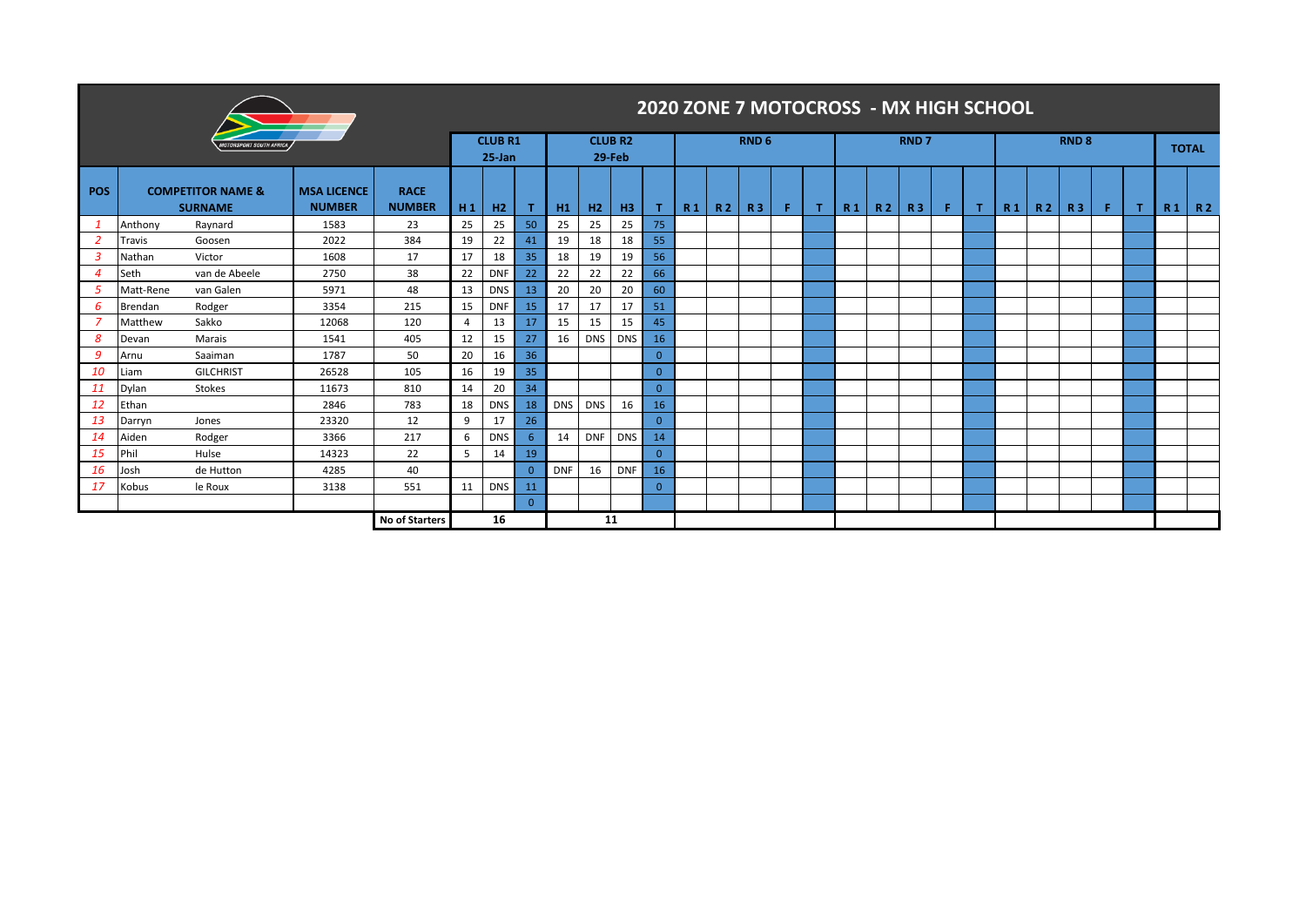|                                    | 2020 ZONE 7 MOTOCROSS - MX HIGH SCHOOL |                                                |                                     |                              |                |                |                          |            |            |                                 |                |                |           |                  |    |  |                |                |             |    |   |                |           |              |    |  |  |         |
|------------------------------------|----------------------------------------|------------------------------------------------|-------------------------------------|------------------------------|----------------|----------------|--------------------------|------------|------------|---------------------------------|----------------|----------------|-----------|------------------|----|--|----------------|----------------|-------------|----|---|----------------|-----------|--------------|----|--|--|---------|
| <i><b>ORSPORT SOUTH AFRICA</b></i> |                                        |                                                |                                     |                              |                |                | <b>CLUB R1</b><br>25 Jan |            |            | <b>CLUB R2</b><br><b>29-Feb</b> |                |                |           | RND <sub>6</sub> |    |  |                |                | <b>RND7</b> |    |   |                |           | <b>RND 8</b> |    |  |  |         |
| <b>POS</b>                         |                                        | <b>COMPETITOR NAME &amp;</b><br><b>SURNAME</b> | <b>MSA LICENCE</b><br><b>NUMBER</b> | <b>RACE</b><br><b>NUMBER</b> | H <sub>1</sub> | H <sub>2</sub> | т                        | H1         | H2         | H <sub>3</sub>                  | T.             | R <sub>1</sub> | <b>R2</b> | <b>R3</b>        | F. |  | R <sub>1</sub> | R <sub>2</sub> | <b>R3</b>   | F. | т | R <sub>1</sub> | <b>R2</b> | <b>R3</b>    | F. |  |  | $R1$ R2 |
|                                    | Anthony                                | Raynard                                        | 1583                                | 23                           | 25             | 25             | 50                       | 25         | 25         | 25                              | 75             |                |           |                  |    |  |                |                |             |    |   |                |           |              |    |  |  |         |
| -2                                 | Travis                                 | Goosen                                         | 2022                                | 384                          | 19             | 22             | 41                       | 19         | 18         | 18                              | 55             |                |           |                  |    |  |                |                |             |    |   |                |           |              |    |  |  |         |
| $\overline{3}$                     | Nathan                                 | Victor                                         | 1608                                | 17                           | 17             | 18             | 35                       | 18         | 19         | 19                              | 56             |                |           |                  |    |  |                |                |             |    |   |                |           |              |    |  |  |         |
| $\overline{4}$                     | Seth                                   | van de Abeele                                  | 2750                                | 38                           | 22             | <b>DNF</b>     | 22                       | 22         | 22         | 22                              | 66             |                |           |                  |    |  |                |                |             |    |   |                |           |              |    |  |  |         |
| 5                                  | Matt-Rene                              | van Galen                                      | 5971                                | 48                           | 13             | <b>DNS</b>     | 13                       | 20         | 20         | 20                              | 60             |                |           |                  |    |  |                |                |             |    |   |                |           |              |    |  |  |         |
| 6                                  | <b>Brendan</b>                         | Rodger                                         | 3354                                | 215                          | 15             | <b>DNF</b>     | 15                       | 17         | 17         | 17                              | 51             |                |           |                  |    |  |                |                |             |    |   |                |           |              |    |  |  |         |
| - 7                                | Matthew                                | Sakko                                          | 12068                               | 120                          | $\overline{4}$ | 13             | 17                       | 15         | 15         | 15                              | 45             |                |           |                  |    |  |                |                |             |    |   |                |           |              |    |  |  |         |
| 8                                  | Devan                                  | Marais                                         | 1541                                | 405                          | 12             | 15             | 27                       | 16         | <b>DNS</b> | <b>DNS</b>                      | 16             |                |           |                  |    |  |                |                |             |    |   |                |           |              |    |  |  |         |
| 9                                  | Arnu                                   | Saaiman                                        | 1787                                | 50                           | 20             | 16             | 36                       |            |            |                                 | $\overline{0}$ |                |           |                  |    |  |                |                |             |    |   |                |           |              |    |  |  |         |
| 10                                 | Liam                                   | <b>GILCHRIST</b>                               | 26528                               | 105                          | 16             | 19             | 35                       |            |            |                                 | $\overline{0}$ |                |           |                  |    |  |                |                |             |    |   |                |           |              |    |  |  |         |
| <b>11</b>                          | Dylan                                  | <b>Stokes</b>                                  | 11673                               | 810                          | 14             | 20             | 34                       |            |            |                                 | $\Omega$       |                |           |                  |    |  |                |                |             |    |   |                |           |              |    |  |  |         |
| 12                                 | Ethan                                  |                                                | 2846                                | 783                          | 18             | <b>DNS</b>     | 18                       | DNS        | <b>DNS</b> | 16                              | 16             |                |           |                  |    |  |                |                |             |    |   |                |           |              |    |  |  |         |
| 13                                 | Darryn                                 | Jones                                          | 23320                               | 12                           | 9              | 17             | 26                       |            |            |                                 | $\Omega$       |                |           |                  |    |  |                |                |             |    |   |                |           |              |    |  |  |         |
| 14                                 | Aiden                                  | Rodger                                         | 3366                                | 217                          | 6              | <b>DNS</b>     | 6                        | 14         | <b>DNF</b> | <b>DNS</b>                      | 14             |                |           |                  |    |  |                |                |             |    |   |                |           |              |    |  |  |         |
| <b>15</b>                          | Phil                                   | Hulse                                          | 14323                               | 22                           | 5              | 14             | 19                       |            |            |                                 | $\Omega$       |                |           |                  |    |  |                |                |             |    |   |                |           |              |    |  |  |         |
| <b>16</b>                          | Josh                                   | de Hutton                                      | 4285                                | 40                           |                |                | $\Omega$                 | <b>DNF</b> | 16         | <b>DNF</b>                      | 16             |                |           |                  |    |  |                |                |             |    |   |                |           |              |    |  |  |         |
| 17                                 | Kobus                                  | le Roux                                        | 3138                                | 551                          | 11             | <b>DNS</b>     | 11                       |            |            |                                 | $\mathbf{0}$   |                |           |                  |    |  |                |                |             |    |   |                |           |              |    |  |  |         |
|                                    |                                        |                                                |                                     |                              |                |                | $\Omega$                 |            |            |                                 |                |                |           |                  |    |  |                |                |             |    |   |                |           |              |    |  |  |         |
|                                    |                                        |                                                |                                     | <b>No of Starters</b>        |                | 16             |                          |            |            | 11                              |                |                |           |                  |    |  |                |                |             |    |   |                |           |              |    |  |  |         |